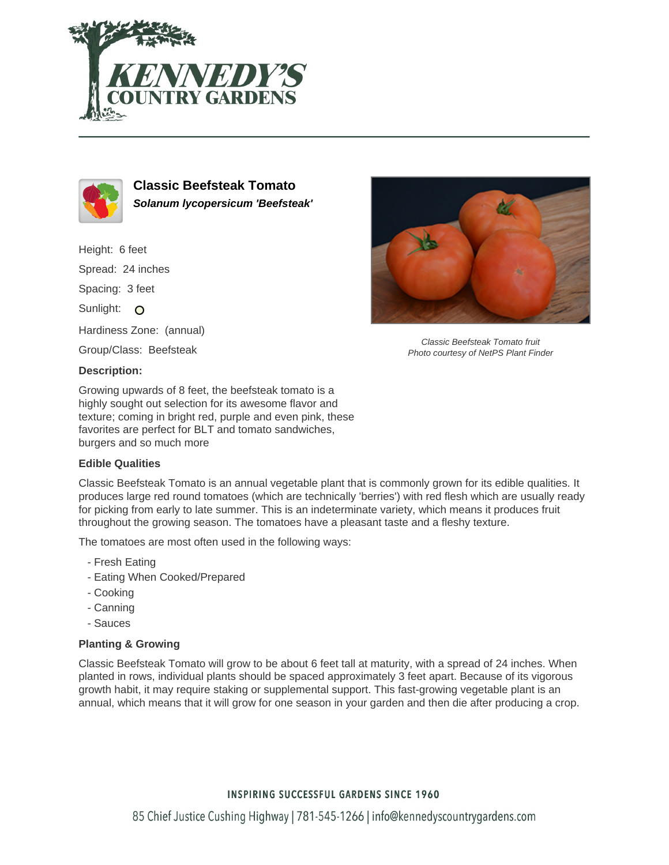



**Classic Beefsteak Tomato Solanum lycopersicum 'Beefsteak'**

Height: 6 feet Spread: 24 inches Spacing: 3 feet Sunlight: O Hardiness Zone: (annual) Group/Class: Beefsteak

## **Description:**

Growing upwards of 8 feet, the beefsteak tomato is a highly sought out selection for its awesome flavor and texture; coming in bright red, purple and even pink, these favorites are perfect for BLT and tomato sandwiches, burgers and so much more

## **Edible Qualities**

Classic Beefsteak Tomato is an annual vegetable plant that is commonly grown for its edible qualities. It produces large red round tomatoes (which are technically 'berries') with red flesh which are usually ready for picking from early to late summer. This is an indeterminate variety, which means it produces fruit throughout the growing season. The tomatoes have a pleasant taste and a fleshy texture.

The tomatoes are most often used in the following ways:

- Fresh Eating
- Eating When Cooked/Prepared
- Cooking
- Canning
- Sauces

## **Planting & Growing**

Classic Beefsteak Tomato will grow to be about 6 feet tall at maturity, with a spread of 24 inches. When planted in rows, individual plants should be spaced approximately 3 feet apart. Because of its vigorous growth habit, it may require staking or supplemental support. This fast-growing vegetable plant is an annual, which means that it will grow for one season in your garden and then die after producing a crop.



Classic Beefsteak Tomato fruit Photo courtesy of NetPS Plant Finder

## **INSPIRING SUCCESSFUL GARDENS SINCE 1960**